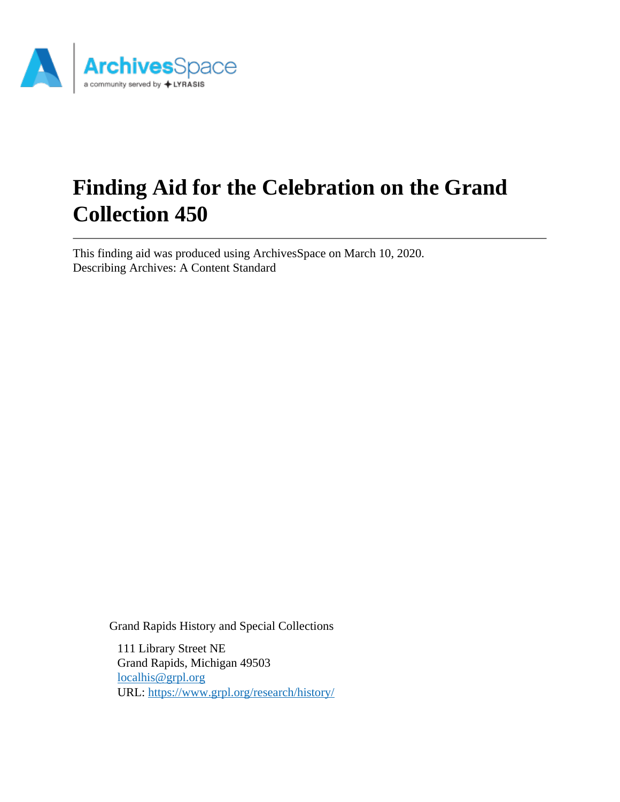

# **Finding Aid for the Celebration on the Grand Collection 450**

This finding aid was produced using ArchivesSpace on March 10, 2020. Describing Archives: A Content Standard

Grand Rapids History and Special Collections

111 Library Street NE Grand Rapids, Michigan 49503 [localhis@grpl.org](mailto:localhis@grpl.org) URL:<https://www.grpl.org/research/history/>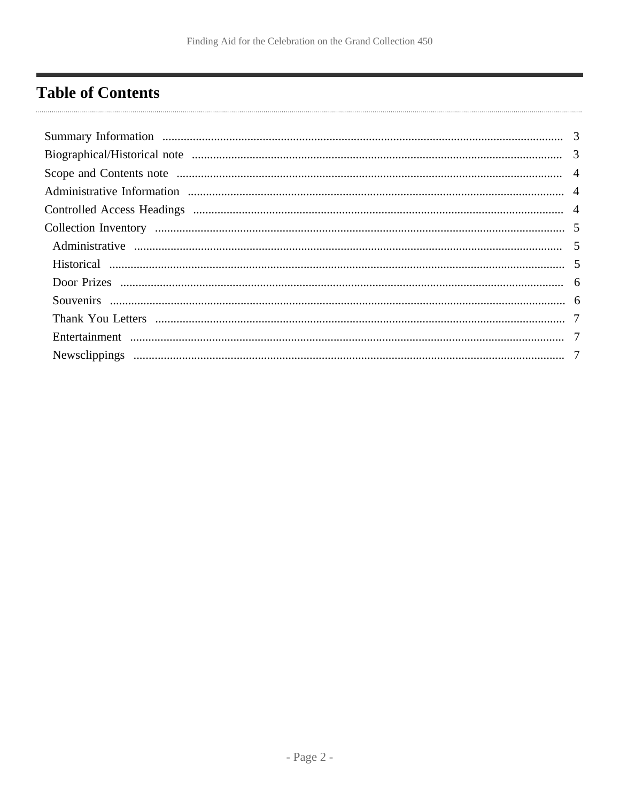## <span id="page-1-0"></span>**Table of Contents**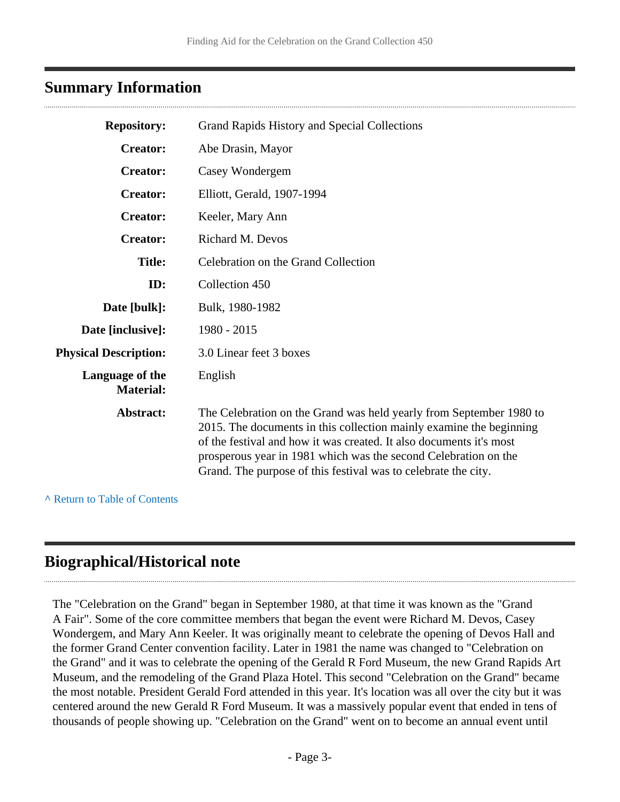### <span id="page-2-0"></span>**Summary Information**

| <b>Repository:</b>                  | Grand Rapids History and Special Collections                                                                                                                                                                                                                                                                                                           |
|-------------------------------------|--------------------------------------------------------------------------------------------------------------------------------------------------------------------------------------------------------------------------------------------------------------------------------------------------------------------------------------------------------|
| <b>Creator:</b>                     | Abe Drasin, Mayor                                                                                                                                                                                                                                                                                                                                      |
| <b>Creator:</b>                     | Casey Wondergem                                                                                                                                                                                                                                                                                                                                        |
| <b>Creator:</b>                     | Elliott, Gerald, 1907-1994                                                                                                                                                                                                                                                                                                                             |
| <b>Creator:</b>                     | Keeler, Mary Ann                                                                                                                                                                                                                                                                                                                                       |
| <b>Creator:</b>                     | Richard M. Devos                                                                                                                                                                                                                                                                                                                                       |
| <b>Title:</b>                       | Celebration on the Grand Collection                                                                                                                                                                                                                                                                                                                    |
| ID:                                 | Collection 450                                                                                                                                                                                                                                                                                                                                         |
| Date [bulk]:                        | Bulk, 1980-1982                                                                                                                                                                                                                                                                                                                                        |
| Date [inclusive]:                   | 1980 - 2015                                                                                                                                                                                                                                                                                                                                            |
| <b>Physical Description:</b>        | 3.0 Linear feet 3 boxes                                                                                                                                                                                                                                                                                                                                |
| Language of the<br><b>Material:</b> | English                                                                                                                                                                                                                                                                                                                                                |
| Abstract:                           | The Celebration on the Grand was held yearly from September 1980 to<br>2015. The documents in this collection mainly examine the beginning<br>of the festival and how it was created. It also documents it's most<br>prosperous year in 1981 which was the second Celebration on the<br>Grand. The purpose of this festival was to celebrate the city. |
|                                     |                                                                                                                                                                                                                                                                                                                                                        |

**^** [Return to Table of Contents](#page-1-0)

## <span id="page-2-1"></span>**Biographical/Historical note**

The "Celebration on the Grand" began in September 1980, at that time it was known as the "Grand A Fair". Some of the core committee members that began the event were Richard M. Devos, Casey Wondergem, and Mary Ann Keeler. It was originally meant to celebrate the opening of Devos Hall and the former Grand Center convention facility. Later in 1981 the name was changed to "Celebration on the Grand" and it was to celebrate the opening of the Gerald R Ford Museum, the new Grand Rapids Art Museum, and the remodeling of the Grand Plaza Hotel. This second "Celebration on the Grand" became the most notable. President Gerald Ford attended in this year. It's location was all over the city but it was centered around the new Gerald R Ford Museum. It was a massively popular event that ended in tens of thousands of people showing up. "Celebration on the Grand" went on to become an annual event until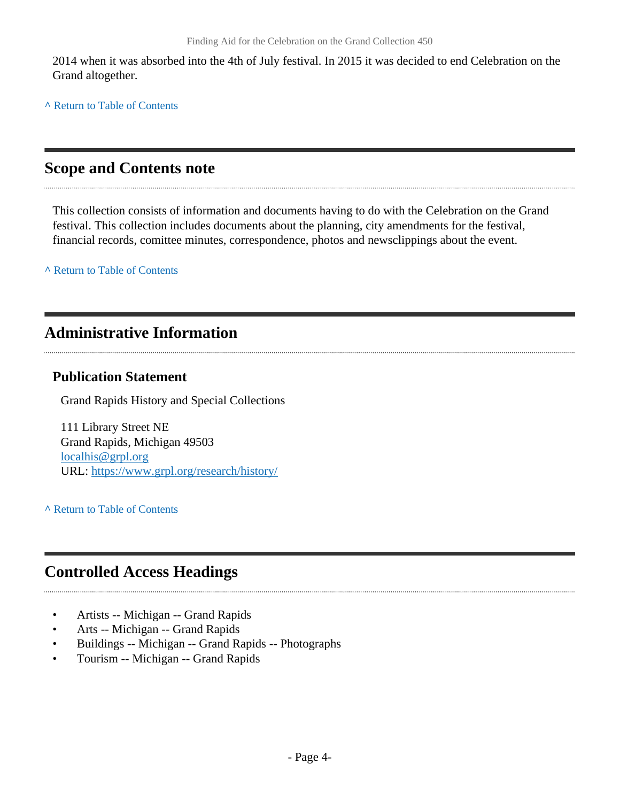2014 when it was absorbed into the 4th of July festival. In 2015 it was decided to end Celebration on the Grand altogether.

**^** [Return to Table of Contents](#page-1-0)

### <span id="page-3-0"></span>**Scope and Contents note**

This collection consists of information and documents having to do with the Celebration on the Grand festival. This collection includes documents about the planning, city amendments for the festival, financial records, comittee minutes, correspondence, photos and newsclippings about the event.

**^** [Return to Table of Contents](#page-1-0)

## <span id="page-3-1"></span>**Administrative Information**

#### **Publication Statement**

Grand Rapids History and Special Collections

111 Library Street NE Grand Rapids, Michigan 49503 [localhis@grpl.org](mailto:localhis@grpl.org) URL:<https://www.grpl.org/research/history/>

**^** [Return to Table of Contents](#page-1-0)

## <span id="page-3-2"></span>**Controlled Access Headings**

- Artists -- Michigan -- Grand Rapids
- Arts -- Michigan -- Grand Rapids
- Buildings -- Michigan -- Grand Rapids -- Photographs
- Tourism -- Michigan -- Grand Rapids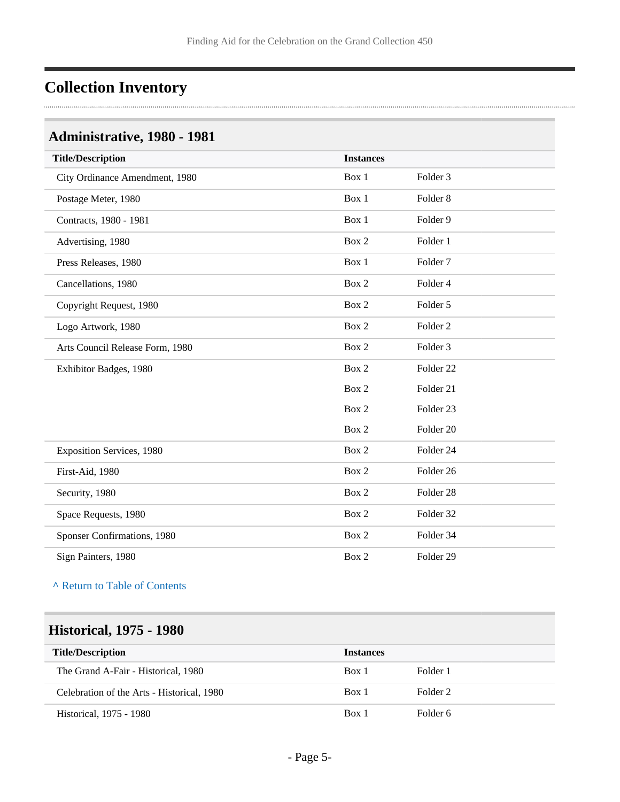## <span id="page-4-0"></span>**Collection Inventory**

### <span id="page-4-1"></span>**Administrative, 1980 - 1981**

| <b>Title/Description</b>        | <b>Instances</b> |                      |
|---------------------------------|------------------|----------------------|
| City Ordinance Amendment, 1980  | Box 1            | Folder 3             |
| Postage Meter, 1980             | Box 1            | Folder <sub>8</sub>  |
| Contracts, 1980 - 1981          | Box 1            | Folder 9             |
| Advertising, 1980               | Box 2            | Folder 1             |
| Press Releases, 1980            | Box 1            | Folder <sub>7</sub>  |
| Cancellations, 1980             | Box 2            | Folder 4             |
| Copyright Request, 1980         | Box 2            | Folder 5             |
| Logo Artwork, 1980              | Box 2            | Folder <sub>2</sub>  |
| Arts Council Release Form, 1980 | Box 2            | Folder 3             |
| Exhibitor Badges, 1980          | Box 2            | Folder <sub>22</sub> |
|                                 | Box 2            | Folder 21            |
|                                 | Box 2            | Folder <sub>23</sub> |
|                                 | Box 2            | Folder 20            |
| Exposition Services, 1980       | Box 2            | Folder 24            |
| First-Aid, 1980                 | Box 2            | Folder 26            |
| Security, 1980                  | Box 2            | Folder 28            |
| Space Requests, 1980            | Box 2            | Folder 32            |
| Sponser Confirmations, 1980     | Box 2            | Folder 34            |
| Sign Painters, 1980             | Box 2            | Folder 29            |

**^** [Return to Table of Contents](#page-1-0)

### <span id="page-4-2"></span>**Historical, 1975 - 1980**

| <b>Title/Description</b>                   | <b>Instances</b> |          |
|--------------------------------------------|------------------|----------|
| The Grand A-Fair - Historical, 1980        | Box 1            | Folder 1 |
| Celebration of the Arts - Historical, 1980 | Box 1            | Folder 2 |
| Historical, 1975 - 1980                    | Box 1            | Folder 6 |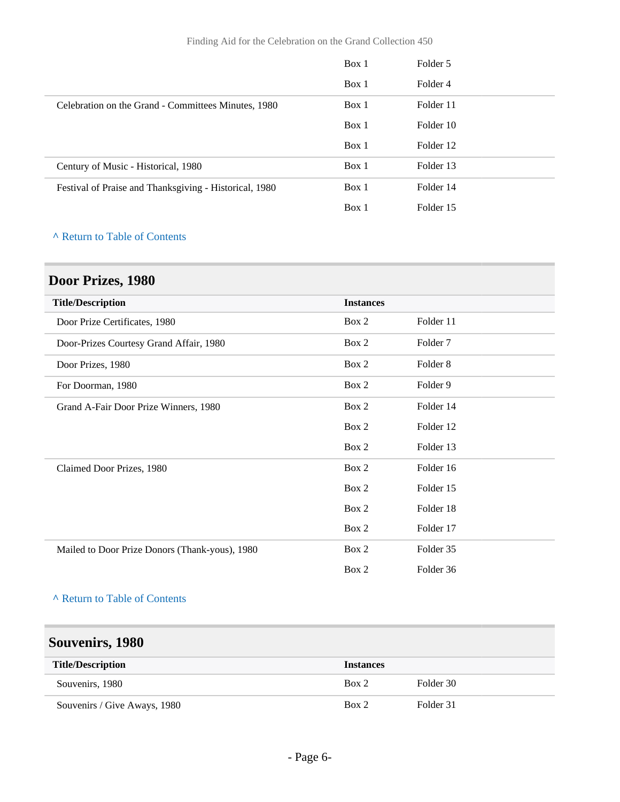|                                                        | Box 1 | Folder 5  |
|--------------------------------------------------------|-------|-----------|
|                                                        | Box 1 | Folder 4  |
| Celebration on the Grand - Committees Minutes, 1980    | Box 1 | Folder 11 |
|                                                        | Box 1 | Folder 10 |
|                                                        | Box 1 | Folder 12 |
| Century of Music - Historical, 1980                    | Box 1 | Folder 13 |
| Festival of Praise and Thanksgiving - Historical, 1980 | Box 1 | Folder 14 |
|                                                        | Box 1 | Folder 15 |

#### **^** [Return to Table of Contents](#page-1-0)

## <span id="page-5-0"></span>**Door Prizes, 1980**

| <b>Title/Description</b>                       | <b>Instances</b> |                     |
|------------------------------------------------|------------------|---------------------|
| Door Prize Certificates, 1980                  | Box 2            | Folder 11           |
| Door-Prizes Courtesy Grand Affair, 1980        | Box 2            | Folder 7            |
| Door Prizes, 1980                              | Box 2            | Folder <sub>8</sub> |
| For Doorman, 1980                              | Box 2            | Folder 9            |
| Grand A-Fair Door Prize Winners, 1980          | Box 2            | Folder 14           |
|                                                | Box 2            | Folder 12           |
|                                                | Box 2            | Folder 13           |
| Claimed Door Prizes, 1980                      | Box 2            | Folder 16           |
|                                                | Box 2            | Folder 15           |
|                                                | Box 2            | Folder 18           |
|                                                | Box 2            | Folder 17           |
| Mailed to Door Prize Donors (Thank-yous), 1980 | Box 2            | Folder 35           |
|                                                | Box 2            | Folder 36           |

#### **^** [Return to Table of Contents](#page-1-0)

<span id="page-5-1"></span>

| Souvenirs, 1980              |                  |           |
|------------------------------|------------------|-----------|
| <b>Title/Description</b>     | <b>Instances</b> |           |
| Souvenirs, 1980              | Box 2            | Folder 30 |
| Souvenirs / Give Aways, 1980 | Box 2            | Folder 31 |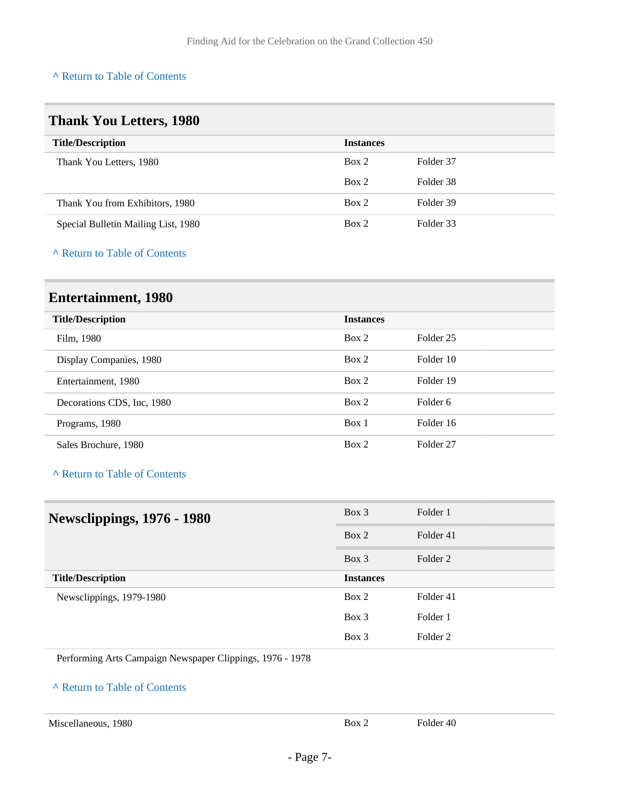#### **^** [Return to Table of Contents](#page-1-0)

### <span id="page-6-0"></span>**Thank You Letters, 1980**

| <b>Title/Description</b>            | <b>Instances</b> |           |
|-------------------------------------|------------------|-----------|
| Thank You Letters, 1980             | Box 2            | Folder 37 |
|                                     | Box 2            | Folder 38 |
| Thank You from Exhibitors, 1980     | Box 2            | Folder 39 |
| Special Bulletin Mailing List, 1980 | Box 2            | Folder 33 |

#### **^** [Return to Table of Contents](#page-1-0)

## <span id="page-6-1"></span>**Entertainment, 1980**

| <b>Title/Description</b>   | <b>Instances</b> |           |
|----------------------------|------------------|-----------|
| Film, 1980                 | Box 2            | Folder 25 |
| Display Companies, 1980    | Box 2            | Folder 10 |
| Entertainment, 1980        | Box 2            | Folder 19 |
| Decorations CDS, Inc. 1980 | Box 2            | Folder 6  |
| Programs, 1980             | Box 1            | Folder 16 |
| Sales Brochure, 1980       | Box 2            | Folder 27 |

#### **^** [Return to Table of Contents](#page-1-0)

<span id="page-6-2"></span>

| <b>Newsclippings, 1976 - 1980</b> | Box 3            | Folder 1  |
|-----------------------------------|------------------|-----------|
|                                   | Box 2            | Folder 41 |
|                                   | $Box\ 3$         | Folder 2  |
|                                   |                  |           |
| <b>Title/Description</b>          | <b>Instances</b> |           |
| Newsclippings, 1979-1980          | Box 2            | Folder 41 |
|                                   | $Box\ 3$         | Folder 1  |

Performing Arts Campaign Newspaper Clippings, 1976 - 1978

#### **^** [Return to Table of Contents](#page-1-0)